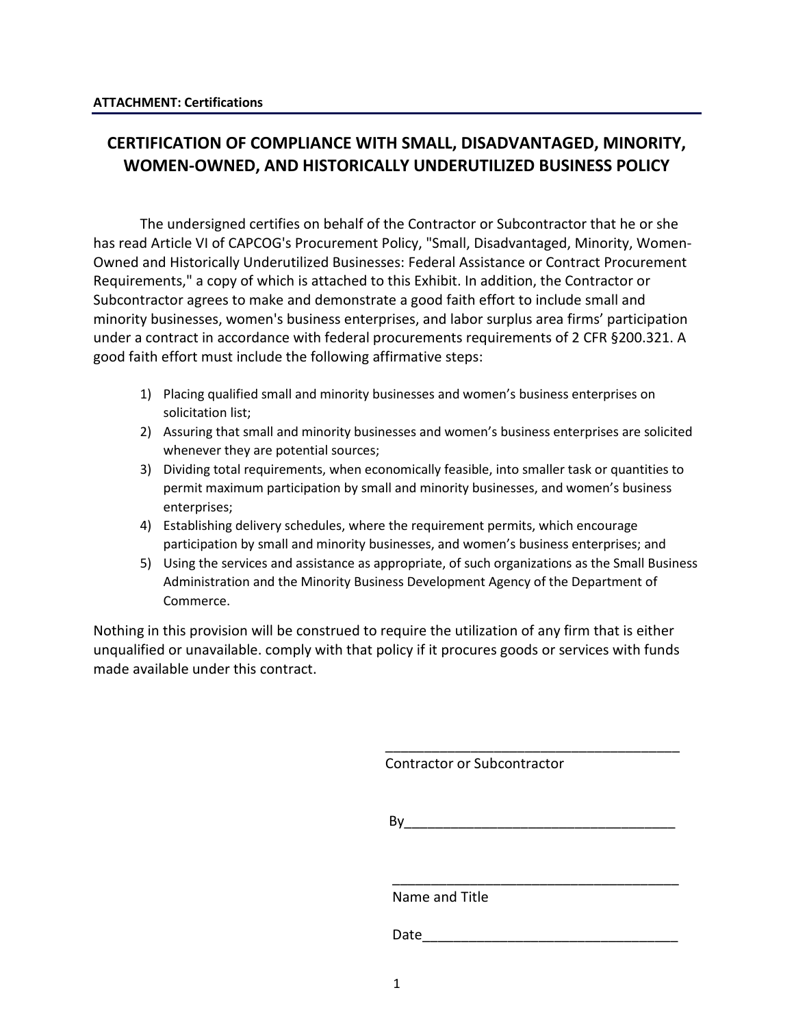# **CERTIFICATION OF COMPLIANCE WITH SMALL, DISADVANTAGED, MINORITY, WOMEN-OWNED, AND HISTORICALLY UNDERUTILIZED BUSINESS POLICY**

The undersigned certifies on behalf of the Contractor or Subcontractor that he or she has read Article VI of CAPCOG's Procurement Policy, "Small, Disadvantaged, Minority, Women-Owned and Historically Underutilized Businesses: Federal Assistance or Contract Procurement Requirements," a copy of which is attached to this Exhibit. In addition, the Contractor or Subcontractor agrees to make and demonstrate a good faith effort to include small and minority businesses, women's business enterprises, and labor surplus area firms' participation under a contract in accordance with federal procurements requirements of 2 CFR §200.321. A good faith effort must include the following affirmative steps:

- 1) Placing qualified small and minority businesses and women's business enterprises on solicitation list;
- 2) Assuring that small and minority businesses and women's business enterprises are solicited whenever they are potential sources;
- 3) Dividing total requirements, when economically feasible, into smaller task or quantities to permit maximum participation by small and minority businesses, and women's business enterprises;
- 4) Establishing delivery schedules, where the requirement permits, which encourage participation by small and minority businesses, and women's business enterprises; and
- 5) Using the services and assistance as appropriate, of such organizations as the Small Business Administration and the Minority Business Development Agency of the Department of Commerce.

Nothing in this provision will be construed to require the utilization of any firm that is either unqualified or unavailable. comply with that policy if it procures goods or services with funds made available under this contract.

 $\overline{\phantom{a}}$  , which is a set of the set of the set of the set of the set of the set of the set of the set of the set of the set of the set of the set of the set of the set of the set of the set of the set of the set of th

 $\overline{\phantom{a}}$  , and the contract of the contract of the contract of the contract of the contract of the contract of the contract of the contract of the contract of the contract of the contract of the contract of the contrac

Contractor or Subcontractor

 $\mathsf{By}$ 

Name and Title

Date\_\_\_\_\_\_\_\_\_\_\_\_\_\_\_\_\_\_\_\_\_\_\_\_\_\_\_\_\_\_\_\_\_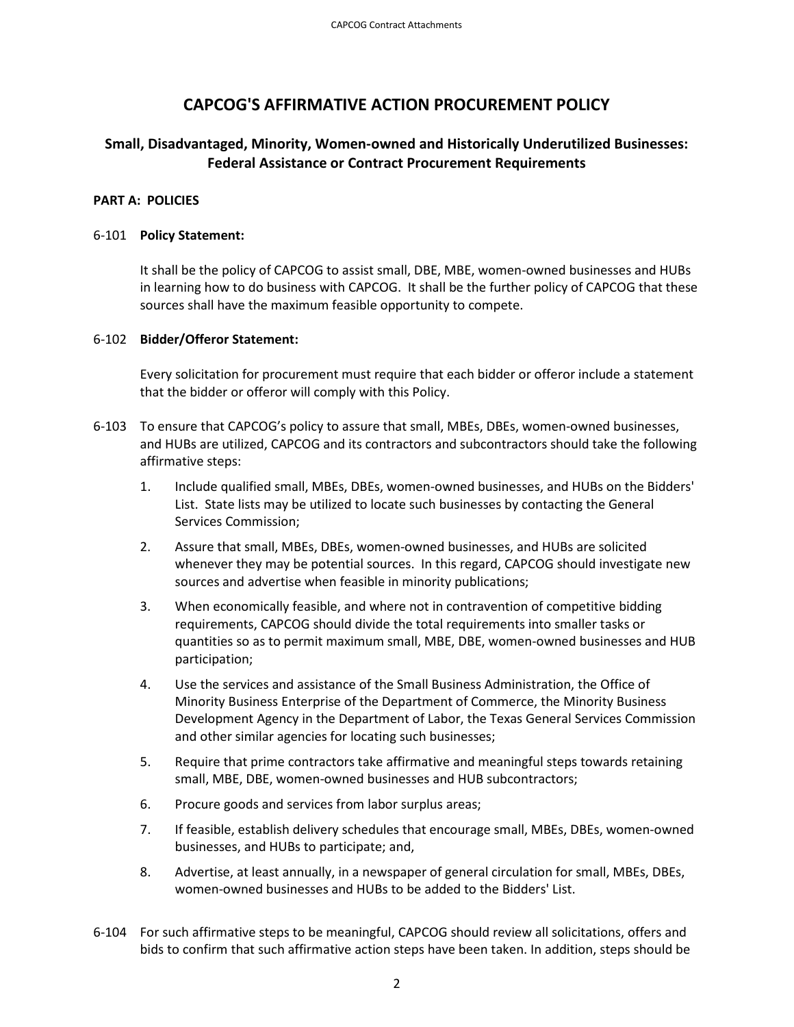## **CAPCOG'S AFFIRMATIVE ACTION PROCUREMENT POLICY**

### **Small, Disadvantaged, Minority, Women-owned and Historically Underutilized Businesses: Federal Assistance or Contract Procurement Requirements**

#### **PART A: POLICIES**

#### 6-101 **Policy Statement:**

It shall be the policy of CAPCOG to assist small, DBE, MBE, women-owned businesses and HUBs in learning how to do business with CAPCOG. It shall be the further policy of CAPCOG that these sources shall have the maximum feasible opportunity to compete.

#### 6-102 **Bidder/Offeror Statement:**

Every solicitation for procurement must require that each bidder or offeror include a statement that the bidder or offeror will comply with this Policy.

- 6-103 To ensure that CAPCOG's policy to assure that small, MBEs, DBEs, women-owned businesses, and HUBs are utilized, CAPCOG and its contractors and subcontractors should take the following affirmative steps:
	- 1. Include qualified small, MBEs, DBEs, women-owned businesses, and HUBs on the Bidders' List. State lists may be utilized to locate such businesses by contacting the General Services Commission;
	- 2. Assure that small, MBEs, DBEs, women-owned businesses, and HUBs are solicited whenever they may be potential sources. In this regard, CAPCOG should investigate new sources and advertise when feasible in minority publications;
	- 3. When economically feasible, and where not in contravention of competitive bidding requirements, CAPCOG should divide the total requirements into smaller tasks or quantities so as to permit maximum small, MBE, DBE, women-owned businesses and HUB participation;
	- 4. Use the services and assistance of the Small Business Administration, the Office of Minority Business Enterprise of the Department of Commerce, the Minority Business Development Agency in the Department of Labor, the Texas General Services Commission and other similar agencies for locating such businesses;
	- 5. Require that prime contractors take affirmative and meaningful steps towards retaining small, MBE, DBE, women-owned businesses and HUB subcontractors;
	- 6. Procure goods and services from labor surplus areas;
	- 7. If feasible, establish delivery schedules that encourage small, MBEs, DBEs, women-owned businesses, and HUBs to participate; and,
	- 8. Advertise, at least annually, in a newspaper of general circulation for small, MBEs, DBEs, women-owned businesses and HUBs to be added to the Bidders' List.
- 6-104 For such affirmative steps to be meaningful, CAPCOG should review all solicitations, offers and bids to confirm that such affirmative action steps have been taken. In addition, steps should be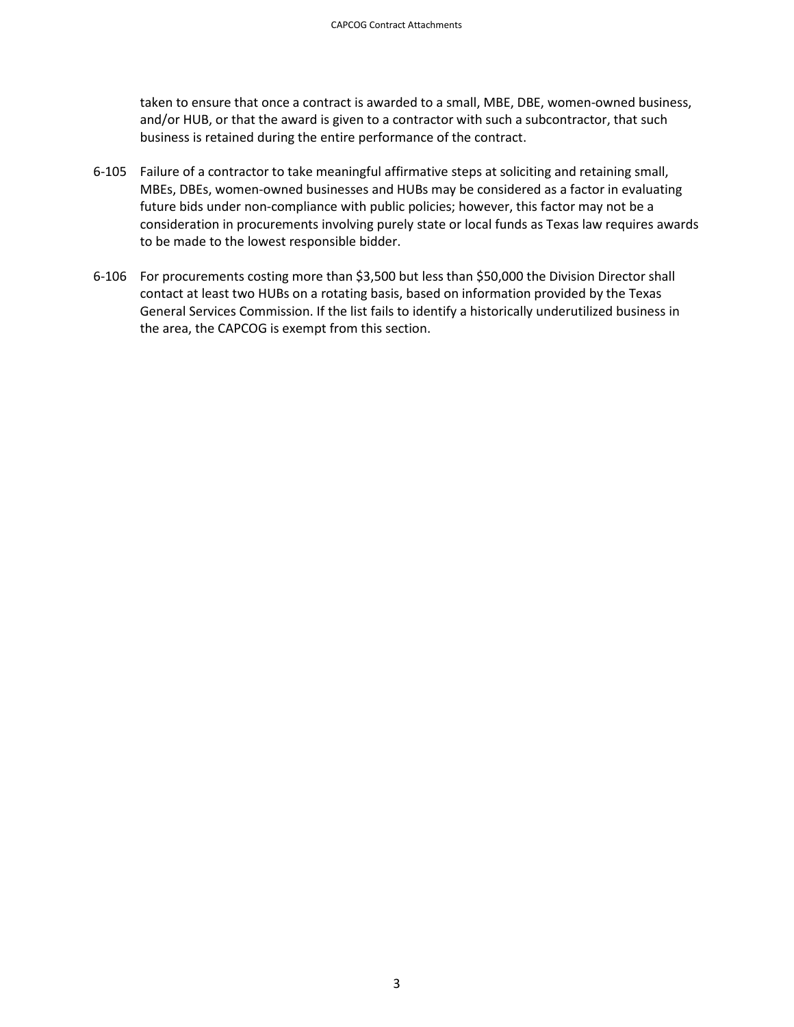taken to ensure that once a contract is awarded to a small, MBE, DBE, women-owned business, and/or HUB, or that the award is given to a contractor with such a subcontractor, that such business is retained during the entire performance of the contract.

- 6-105 Failure of a contractor to take meaningful affirmative steps at soliciting and retaining small, MBEs, DBEs, women-owned businesses and HUBs may be considered as a factor in evaluating future bids under non-compliance with public policies; however, this factor may not be a consideration in procurements involving purely state or local funds as Texas law requires awards to be made to the lowest responsible bidder.
- 6-106 For procurements costing more than \$3,500 but less than \$50,000 the Division Director shall contact at least two HUBs on a rotating basis, based on information provided by the Texas General Services Commission. If the list fails to identify a historically underutilized business in the area, the CAPCOG is exempt from this section.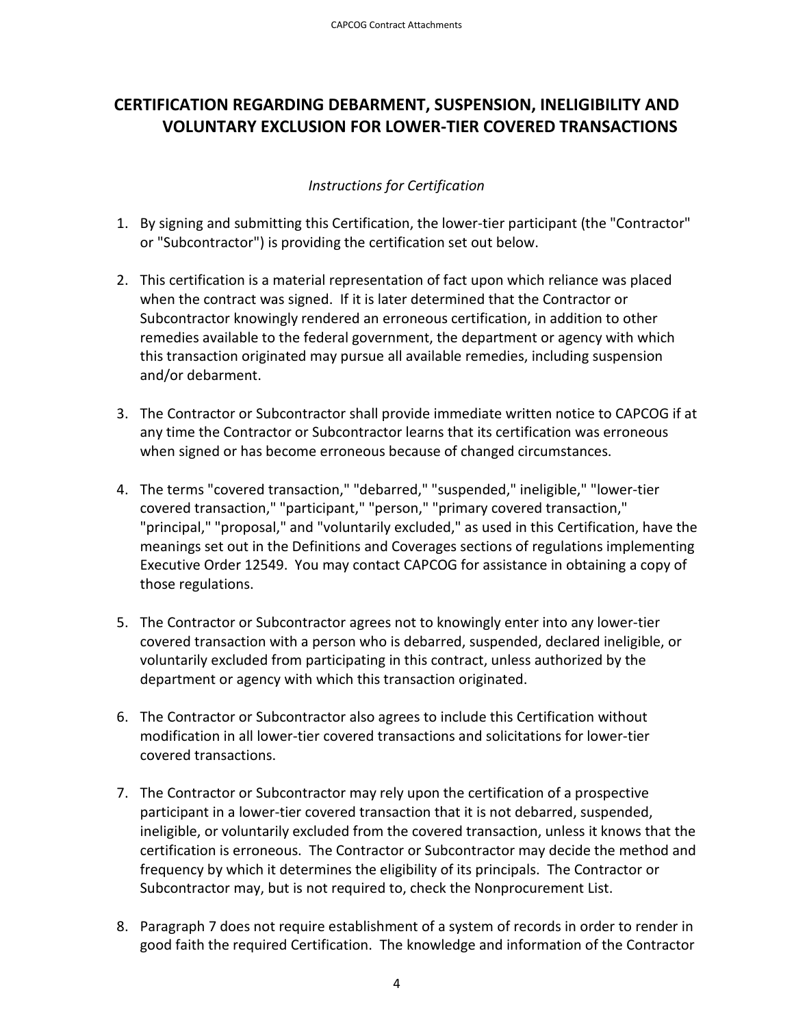# **CERTIFICATION REGARDING DEBARMENT, SUSPENSION, INELIGIBILITY AND VOLUNTARY EXCLUSION FOR LOWER-TIER COVERED TRANSACTIONS**

### *Instructions for Certification*

- 1. By signing and submitting this Certification, the lower-tier participant (the "Contractor" or "Subcontractor") is providing the certification set out below.
- 2. This certification is a material representation of fact upon which reliance was placed when the contract was signed. If it is later determined that the Contractor or Subcontractor knowingly rendered an erroneous certification, in addition to other remedies available to the federal government, the department or agency with which this transaction originated may pursue all available remedies, including suspension and/or debarment.
- 3. The Contractor or Subcontractor shall provide immediate written notice to CAPCOG if at any time the Contractor or Subcontractor learns that its certification was erroneous when signed or has become erroneous because of changed circumstances.
- 4. The terms "covered transaction," "debarred," "suspended," ineligible," "lower-tier covered transaction," "participant," "person," "primary covered transaction," "principal," "proposal," and "voluntarily excluded," as used in this Certification, have the meanings set out in the Definitions and Coverages sections of regulations implementing Executive Order 12549. You may contact CAPCOG for assistance in obtaining a copy of those regulations.
- 5. The Contractor or Subcontractor agrees not to knowingly enter into any lower-tier covered transaction with a person who is debarred, suspended, declared ineligible, or voluntarily excluded from participating in this contract, unless authorized by the department or agency with which this transaction originated.
- 6. The Contractor or Subcontractor also agrees to include this Certification without modification in all lower-tier covered transactions and solicitations for lower-tier covered transactions.
- 7. The Contractor or Subcontractor may rely upon the certification of a prospective participant in a lower-tier covered transaction that it is not debarred, suspended, ineligible, or voluntarily excluded from the covered transaction, unless it knows that the certification is erroneous. The Contractor or Subcontractor may decide the method and frequency by which it determines the eligibility of its principals. The Contractor or Subcontractor may, but is not required to, check the Nonprocurement List.
- 8. Paragraph 7 does not require establishment of a system of records in order to render in good faith the required Certification. The knowledge and information of the Contractor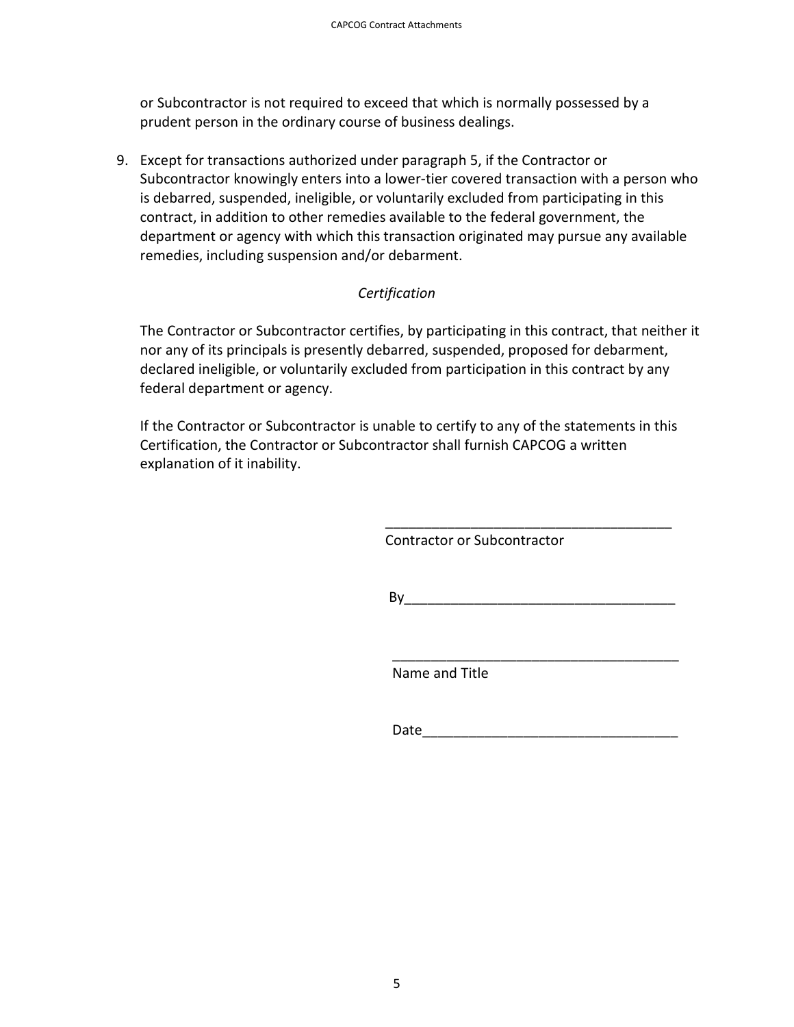or Subcontractor is not required to exceed that which is normally possessed by a prudent person in the ordinary course of business dealings.

9. Except for transactions authorized under paragraph 5, if the Contractor or Subcontractor knowingly enters into a lower-tier covered transaction with a person who is debarred, suspended, ineligible, or voluntarily excluded from participating in this contract, in addition to other remedies available to the federal government, the department or agency with which this transaction originated may pursue any available remedies, including suspension and/or debarment.

### *Certification*

The Contractor or Subcontractor certifies, by participating in this contract, that neither it nor any of its principals is presently debarred, suspended, proposed for debarment, declared ineligible, or voluntarily excluded from participation in this contract by any federal department or agency.

If the Contractor or Subcontractor is unable to certify to any of the statements in this Certification, the Contractor or Subcontractor shall furnish CAPCOG a written explanation of it inability.

 $\overline{\phantom{a}}$  , which is a set of the set of the set of the set of the set of the set of the set of the set of the set of the set of the set of the set of the set of the set of the set of the set of the set of the set of th

 $\overline{\phantom{a}}$  , which is a set of the set of the set of the set of the set of the set of the set of the set of the set of the set of the set of the set of the set of the set of the set of the set of the set of the set of th

Contractor or Subcontractor

 $By$ 

Name and Title

Date\_\_\_\_\_\_\_\_\_\_\_\_\_\_\_\_\_\_\_\_\_\_\_\_\_\_\_\_\_\_\_\_\_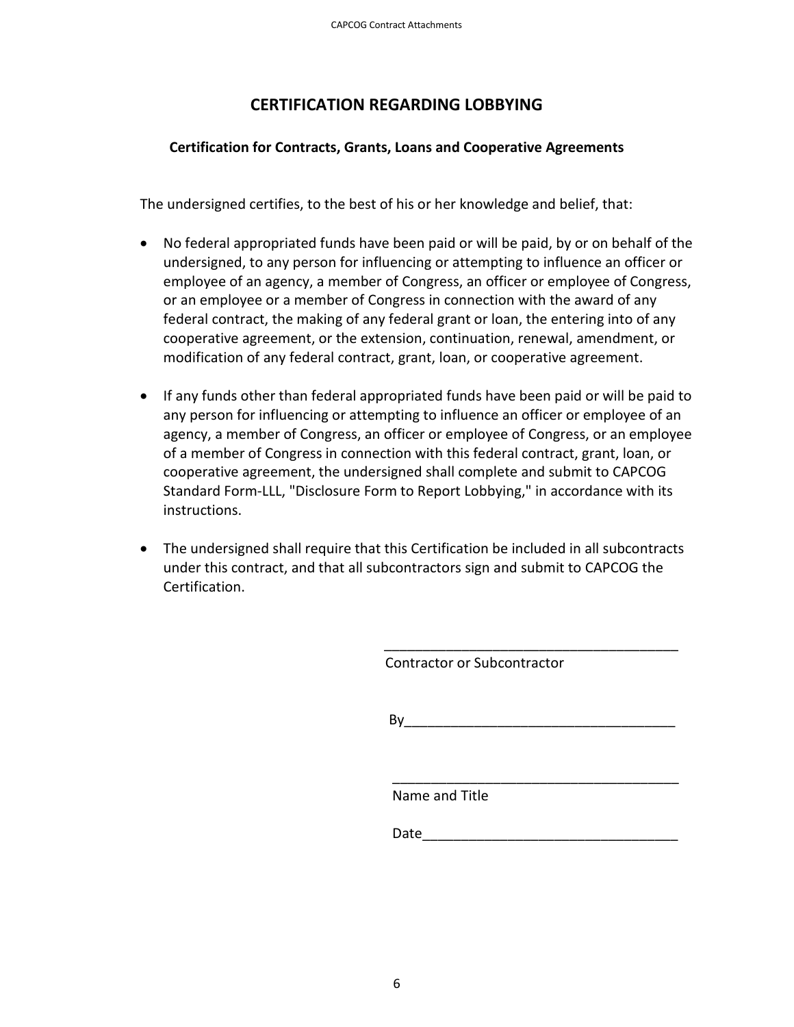## **CERTIFICATION REGARDING LOBBYING**

### **Certification for Contracts, Grants, Loans and Cooperative Agreements**

The undersigned certifies, to the best of his or her knowledge and belief, that:

- No federal appropriated funds have been paid or will be paid, by or on behalf of the undersigned, to any person for influencing or attempting to influence an officer or employee of an agency, a member of Congress, an officer or employee of Congress, or an employee or a member of Congress in connection with the award of any federal contract, the making of any federal grant or loan, the entering into of any cooperative agreement, or the extension, continuation, renewal, amendment, or modification of any federal contract, grant, loan, or cooperative agreement.
- If any funds other than federal appropriated funds have been paid or will be paid to any person for influencing or attempting to influence an officer or employee of an agency, a member of Congress, an officer or employee of Congress, or an employee of a member of Congress in connection with this federal contract, grant, loan, or cooperative agreement, the undersigned shall complete and submit to CAPCOG Standard Form-LLL, "Disclosure Form to Report Lobbying," in accordance with its instructions.
- The undersigned shall require that this Certification be included in all subcontracts under this contract, and that all subcontractors sign and submit to CAPCOG the Certification.

Contractor or Subcontractor

 $\mathsf{By}$ 

\_\_\_\_\_\_\_\_\_\_\_\_\_\_\_\_\_\_\_\_\_\_\_\_\_\_\_\_\_\_\_\_\_\_\_\_\_\_

Name and Title

Date\_\_\_\_\_\_\_\_\_\_\_\_\_\_\_\_\_\_\_\_\_\_\_\_\_\_\_\_\_\_\_\_\_

 $\overline{\phantom{a}}$  , and the contract of the contract of the contract of the contract of the contract of the contract of the contract of the contract of the contract of the contract of the contract of the contract of the contrac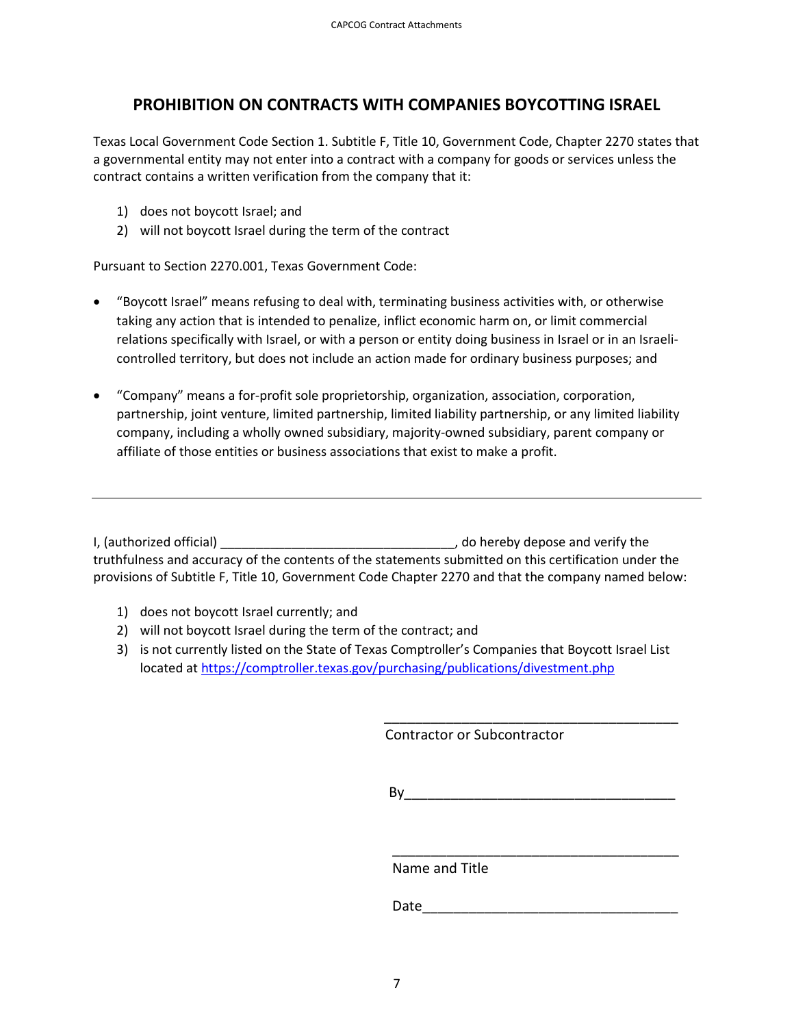## **PROHIBITION ON CONTRACTS WITH COMPANIES BOYCOTTING ISRAEL**

Texas Local Government Code Section 1. Subtitle F, Title 10, Government Code, Chapter 2270 states that a governmental entity may not enter into a contract with a company for goods or services unless the contract contains a written verification from the company that it:

- 1) does not boycott Israel; and
- 2) will not boycott Israel during the term of the contract

Pursuant to Section 2270.001, Texas Government Code:

- "Boycott Israel" means refusing to deal with, terminating business activities with, or otherwise taking any action that is intended to penalize, inflict economic harm on, or limit commercial relations specifically with Israel, or with a person or entity doing business in Israel or in an Israelicontrolled territory, but does not include an action made for ordinary business purposes; and
- "Company" means a for-profit sole proprietorship, organization, association, corporation, partnership, joint venture, limited partnership, limited liability partnership, or any limited liability company, including a wholly owned subsidiary, majority-owned subsidiary, parent company or affiliate of those entities or business associations that exist to make a profit.

I, (authorized official) **I** authorized official) **A 1 a 1 a 1 a 1 a 1 a 1 a 1 a 1 a 1 a 1 a 1 a 1 a 1 a 1 a 1 a 1 a 1 a 1 a 1 a 1 a 1 a** truthfulness and accuracy of the contents of the statements submitted on this certification under the provisions of Subtitle F, Title 10, Government Code Chapter 2270 and that the company named below:

- 1) does not boycott Israel currently; and
- 2) will not boycott Israel during the term of the contract; and
- 3) is not currently listed on the State of Texas Comptroller's Companies that Boycott Israel List located at<https://comptroller.texas.gov/purchasing/publications/divestment.php>

Contractor or Subcontractor

 $\mathsf{By}$ 

\_\_\_\_\_\_\_\_\_\_\_\_\_\_\_\_\_\_\_\_\_\_\_\_\_\_\_\_\_\_\_\_\_\_\_\_\_\_

Name and Title

Date\_\_\_\_\_\_\_\_\_\_\_\_\_\_\_\_\_\_\_\_\_\_\_\_\_\_\_\_\_\_\_\_\_

 $\overline{\phantom{a}}$  , and the contract of the contract of the contract of the contract of the contract of the contract of the contract of the contract of the contract of the contract of the contract of the contract of the contrac